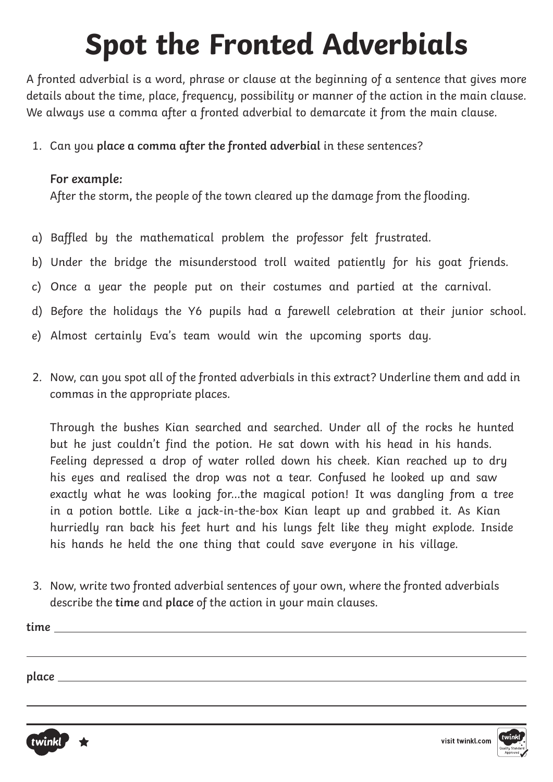A fronted adverbial is a word, phrase or clause at the beginning of a sentence that gives more details about the time, place, frequency, possibility or manner of the action in the main clause. We always use a comma after a fronted adverbial to demarcate it from the main clause.

1. Can you place a comma after the fronted adverbial in these sentences?

#### **For example:**

After the storm**,** the people of the town cleared up the damage from the flooding.

- a) Baffled by the mathematical problem the professor felt frustrated.
- b) Under the bridge the misunderstood troll waited patiently for his goat friends.
- c) Once a year the people put on their costumes and partied at the carnival.
- d) Before the holidays the Y6 pupils had a farewell celebration at their junior school.
- e) Almost certainly Eva's team would win the upcoming sports day.
- 2. Now, can you spot all of the fronted adverbials in this extract? Underline them and add in commas in the appropriate places.

Through the bushes Kian searched and searched. Under all of the rocks he hunted but he just couldn't find the potion. He sat down with his head in his hands. Feeling depressed a drop of water rolled down his cheek. Kian reached up to dry his eyes and realised the drop was not a tear. Confused he looked up and saw exactly what he was looking for…the magical potion! It was dangling from a tree in a potion bottle. Like a jack-in-the-box Kian leapt up and grabbed it. As Kian hurriedly ran back his feet hurt and his lungs felt like they might explode. Inside his hands he held the one thing that could save everyone in his village.

3. Now, write two fronted adverbial sentences of your own, where the fronted adverbials describe the **time** and **place** of the action in your main clauses.

| time  |  |  |
|-------|--|--|
|       |  |  |
|       |  |  |
| place |  |  |
|       |  |  |



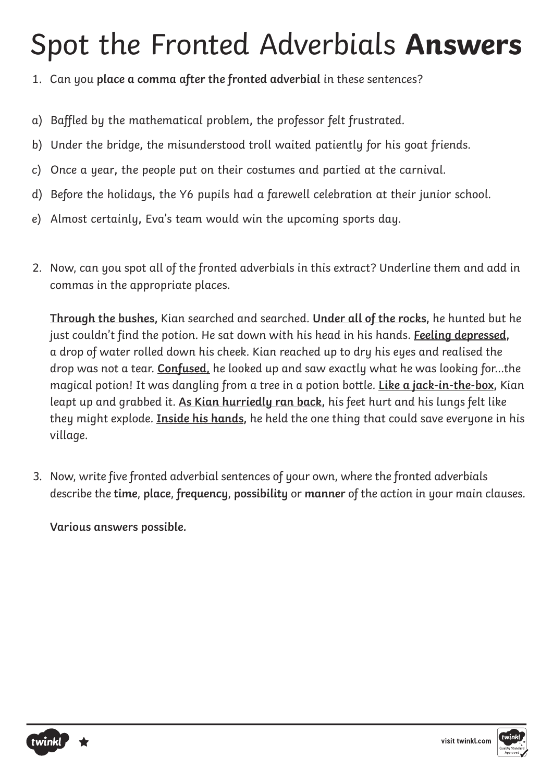#### Spot the Fronted Adverbials **Answers**

- 1. Can you place a comma after the fronted adverbial in these sentences?
- a) Baffled by the mathematical problem**,** the professor felt frustrated.
- b) Under the bridge**,** the misunderstood troll waited patiently for his goat friends.
- c) Once a year**,** the people put on their costumes and partied at the carnival.
- d) Before the holidays**,** the Y6 pupils had a farewell celebration at their junior school.
- e) Almost certainly**,** Eva's team would win the upcoming sports day.
- 2. Now, can you spot all of the fronted adverbials in this extract? Underline them and add in commas in the appropriate places.

**Through the bushes,** Kian searched and searched. **Under all of the rocks,** he hunted but he just couldn't find the potion. He sat down with his head in his hands. **Feeling depressed,** a drop of water rolled down his cheek. Kian reached up to dry his eyes and realised the drop was not a tear. **Confused,** he looked up and saw exactly what he was looking for…the magical potion! It was dangling from a tree in a potion bottle. **Like a jack-in-the-box,** Kian leapt up and grabbed it. **As Kian hurriedly ran back,** his feet hurt and his lungs felt like they might explode. **Inside his hands,** he held the one thing that could save everyone in his village.

3. Now, write five fronted adverbial sentences of your own, where the fronted adverbials describe the **time**, **place**, **frequency**, **possibility** or **manner** of the action in your main clauses.

**Various answers possible.**



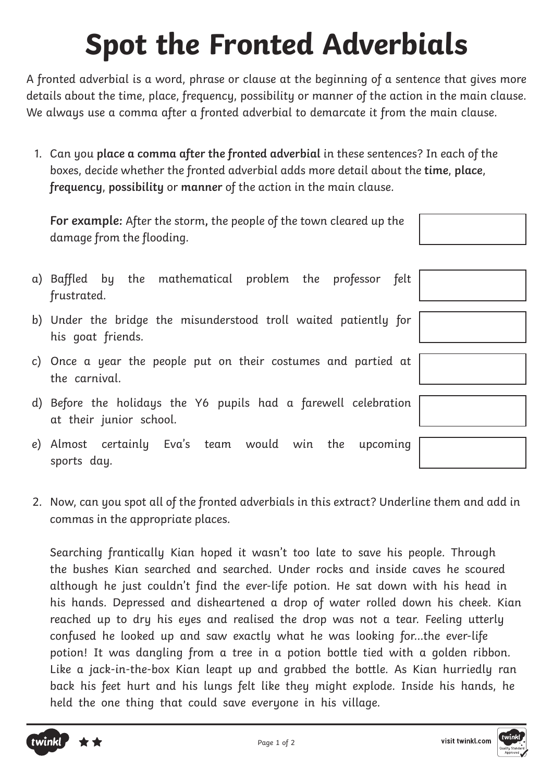A fronted adverbial is a word, phrase or clause at the beginning of a sentence that gives more details about the time, place, frequency, possibility or manner of the action in the main clause. We always use a comma after a fronted adverbial to demarcate it from the main clause.

1. Can you **place a comma after the fronted adverbial** in these sentences? In each of the boxes, decide whether the fronted adverbial adds more detail about the **time**, **place**, **frequency**, **possibility** or **manner** of the action in the main clause.

**For example:** After the storm**,** the people of the town cleared up the damage from the flooding.

- a) Baffled by the mathematical problem the professor felt frustrated.
- b) Under the bridge the misunderstood troll waited patiently for his goat friends.
- c) Once a year the people put on their costumes and partied at the carnival.
- d) Before the holidays the Y6 pupils had a farewell celebration at their junior school.
- e) Almost certainly Eva's team would win the upcoming sports day.
- 2. Now, can you spot all of the fronted adverbials in this extract? Underline them and add in commas in the appropriate places.

Searching frantically Kian hoped it wasn't too late to save his people. Through the bushes Kian searched and searched. Under rocks and inside caves he scoured although he just couldn't find the ever-life potion. He sat down with his head in his hands. Depressed and disheartened a drop of water rolled down his cheek. Kian reached up to dry his eyes and realised the drop was not a tear. Feeling utterly confused he looked up and saw exactly what he was looking for…the ever-life potion! It was dangling from a tree in a potion bottle tied with a golden ribbon. Like a jack-in-the-box Kian leapt up and grabbed the bottle. As Kian hurriedly ran back his feet hurt and his lungs felt like they might explode. Inside his hands, he held the one thing that could save everyone in his village.



| vink             |  |
|------------------|--|
| Quality Standard |  |
| Approved         |  |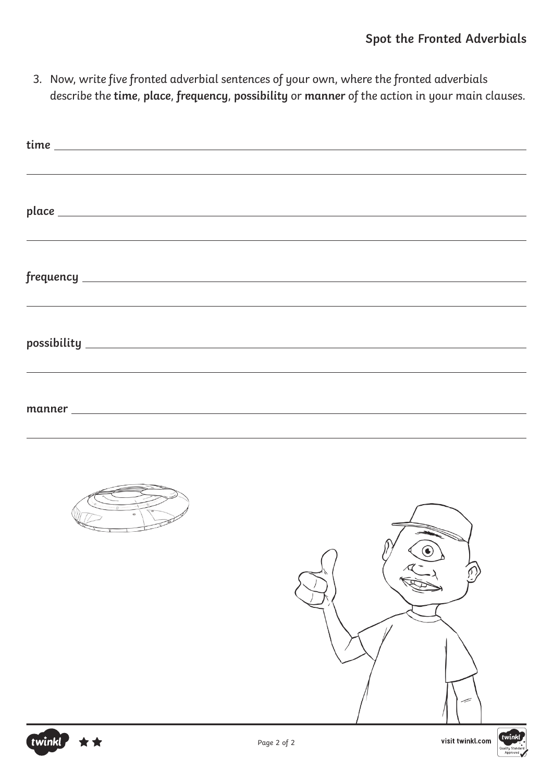3. Now, write five fronted adverbial sentences of your own, where the fronted adverbials describe the **time**, **place**, **frequency**, **possibility** or **manner** of the action in your main clauses.

| ,我们也不能会有一个人的事情。""我们的人,我们也不能会有一个人的人,我们也不能会有一个人的人,我们也不能会有一个人的人,我们也不能会有一个人的人,我们也不能会                                      |                 |
|-----------------------------------------------------------------------------------------------------------------------|-----------------|
| <u> 1989 - Johann Stoff, die Stoff von Berling von Berling von Berling von Berling von Berling von Berling von Be</u> |                 |
|                                                                                                                       |                 |
|                                                                                                                       |                 |
|                                                                                                                       |                 |
|                                                                                                                       | $\bigodot$<br>╱ |



twinkl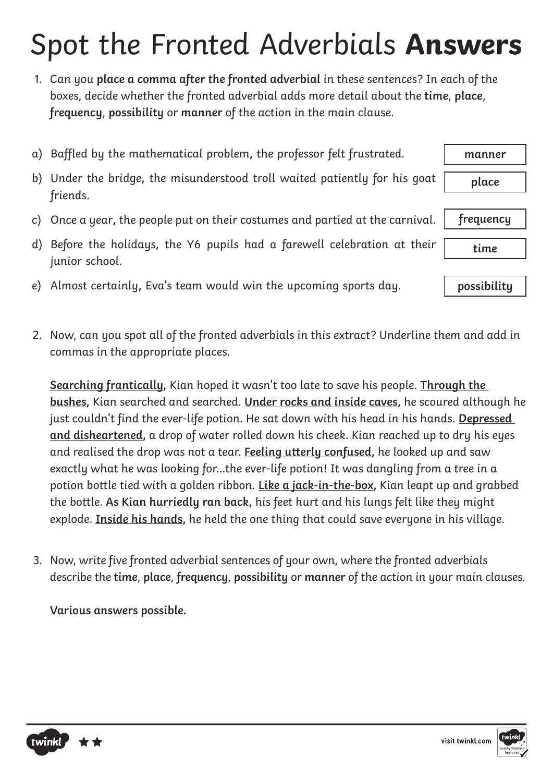## Spot the Fronted Adverbials **Answers**

1. Can you **place a comma after the fronted adverbial** in these sentences? In each of the boxes, decide whether the fronted adverbial adds more detail about the **time**, **place**, **frequency**, **possibility** or **manner** of the action in the main clause.

|    | a) Baffled by the mathematical problem, the professor felt frustrated.        | manner      |
|----|-------------------------------------------------------------------------------|-------------|
| b) | Under the bridge, the misunderstood troll waited patiently for his goat       | place       |
|    | friends.                                                                      |             |
|    | c) Once a year, the people put on their costumes and partied at the carnival. | frequency   |
|    |                                                                               |             |
| d) | Before the holidays, the Y6 pupils had a farewell celebration at their        | time        |
|    | junior school.                                                                |             |
|    | e) Almost certainly, Eva's team would win the upcoming sports day.            | possibility |

2. Now, can you spot all of the fronted adverbials in this extract? Underline them and add in commas in the appropriate places.

**Searching frantically,** Kian hoped it wasn't too late to save his people. **Through the bushes,** Kian searched and searched. **Under rocks and inside caves,** he scoured although he just couldn't find the ever-life potion. He sat down with his head in his hands. **Depressed and disheartened,** a drop of water rolled down his cheek. Kian reached up to dry his eyes and realised the drop was not a tear. **Feeling utterly confused,** he looked up and saw exactly what he was looking for…the ever-life potion! It was dangling from a tree in a potion bottle tied with a golden ribbon. **Like a jack-in-the-box,** Kian leapt up and grabbed the bottle. **As Kian hurriedly ran back,** his feet hurt and his lungs felt like they might explode. **Inside his hands,** he held the one thing that could save everyone in his village.

3. Now, write five fronted adverbial sentences of your own, where the fronted adverbials describe the **time**, **place**, **frequency**, **possibility** or **manner** of the action in your main clauses.

**Various answers possible.**

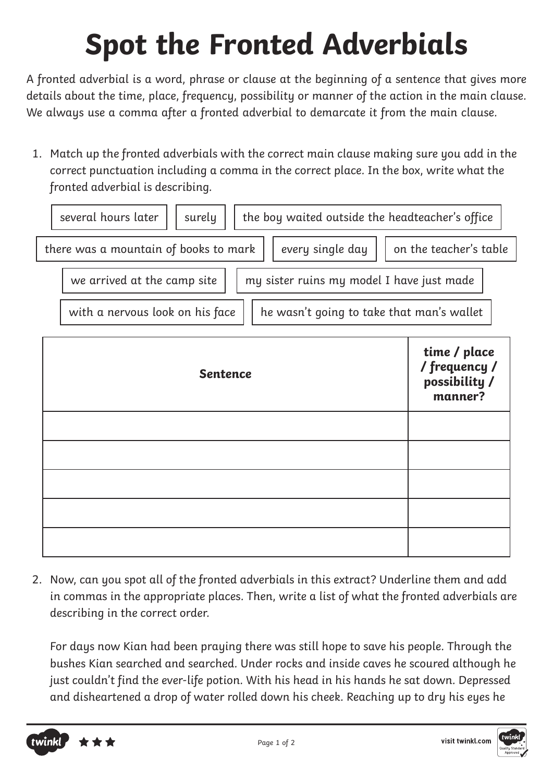A fronted adverbial is a word, phrase or clause at the beginning of a sentence that gives more details about the time, place, frequency, possibility or manner of the action in the main clause. We always use a comma after a fronted adverbial to demarcate it from the main clause.

1. Match up the fronted adverbials with the correct main clause making sure you add in the correct punctuation including a comma in the correct place. In the box, write what the fronted adverbial is describing.



2. Now, can you spot all of the fronted adverbials in this extract? Underline them and add in commas in the appropriate places. Then, write a list of what the fronted adverbials are describing in the correct order.

For days now Kian had been praying there was still hope to save his people. Through the bushes Kian searched and searched. Under rocks and inside caves he scoured although he just couldn't find the ever-life potion. With his head in his hands he sat down. Depressed and disheartened a drop of water rolled down his cheek. Reaching up to dry his eyes he

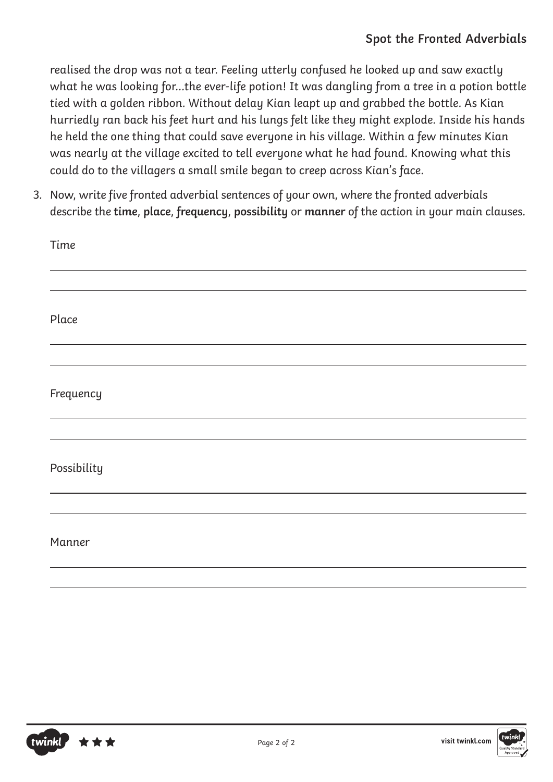realised the drop was not a tear. Feeling utterly confused he looked up and saw exactly what he was looking for…the ever-life potion! It was dangling from a tree in a potion bottle tied with a golden ribbon. Without delay Kian leapt up and grabbed the bottle. As Kian hurriedly ran back his feet hurt and his lungs felt like they might explode. Inside his hands he held the one thing that could save everyone in his village. Within a few minutes Kian was nearly at the village excited to tell everyone what he had found. Knowing what this could do to the villagers a small smile began to creep across Kian's face.

3. Now, write five fronted adverbial sentences of your own, where the fronted adverbials describe the **time**, **place**, **frequency**, **possibility** or **manner** of the action in your main clauses.

| Time        |  |  |
|-------------|--|--|
|             |  |  |
| Place       |  |  |
|             |  |  |
| Frequency   |  |  |
|             |  |  |
| Possibility |  |  |
|             |  |  |
| Manner      |  |  |
|             |  |  |



visit twinkl.com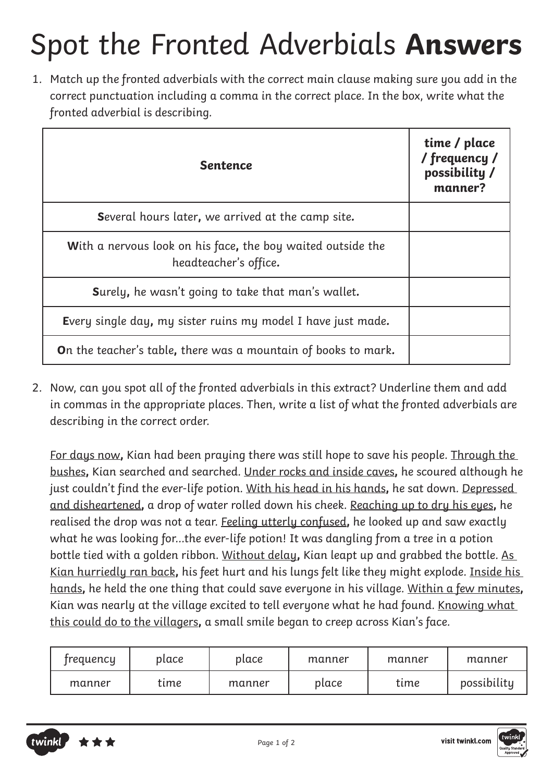# Spot the Fronted Adverbials **Answers**

1. Match up the fronted adverbials with the correct main clause making sure you add in the correct punctuation including a comma in the correct place. In the box, write what the fronted adverbial is describing.

| <b>Sentence</b>                                                                      | time / place<br>/ frequency /<br>possibility /<br>manner? |
|--------------------------------------------------------------------------------------|-----------------------------------------------------------|
| <b>Several hours later, we arrived at the camp site.</b>                             |                                                           |
| With a nervous look on his face, the boy waited outside the<br>headteacher's office. |                                                           |
| Surely, he wasn't going to take that man's wallet.                                   |                                                           |
| Every single day, my sister ruins my model I have just made.                         |                                                           |
| <b>On</b> the teacher's table, there was a mountain of books to mark.                |                                                           |

2. Now, can you spot all of the fronted adverbials in this extract? Underline them and add in commas in the appropriate places. Then, write a list of what the fronted adverbials are describing in the correct order.

For days now**,** Kian had been praying there was still hope to save his people. Through the bushes**,** Kian searched and searched. Under rocks and inside caves**,** he scoured although he just couldn't find the ever-life potion. With his head in his hands**,** he sat down. Depressed and disheartened**,** a drop of water rolled down his cheek. Reaching up to dry his eyes**,** he realised the drop was not a tear. Feeling utterly confused**,** he looked up and saw exactly what he was looking for…the ever-life potion! It was dangling from a tree in a potion bottle tied with a golden ribbon. Without delay**,** Kian leapt up and grabbed the bottle. As Kian hurriedly ran back**,** his feet hurt and his lungs felt like they might explode. Inside his hands**,** he held the one thing that could save everyone in his village. Within a few minutes**,** Kian was nearly at the village excited to tell everyone what he had found. Knowing what this could do to the villagers**,** a small smile began to creep across Kian's face.

| trequency | place | place  | manner | manner | manner      |
|-----------|-------|--------|--------|--------|-------------|
| manner    | time  | manner | place  | tıme   | possibility |